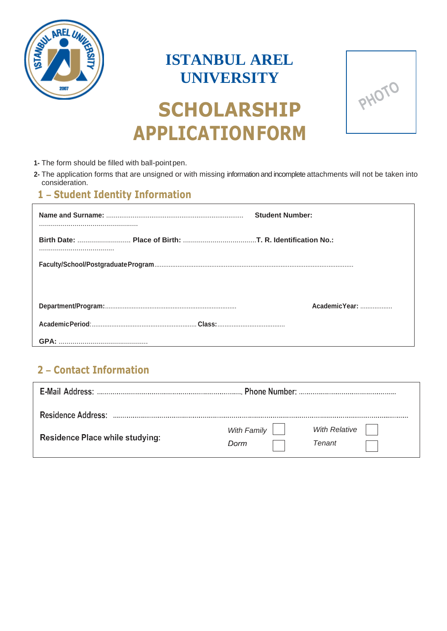

## **ISTANBUL AREL UNIVERSITY**



# **SCHOLARSHIP APPLICATIONFORM**

- 1- The form should be filled with ball-point pen.
- **2-** The application forms that are unsigned or with missing information and incomplete attachments will not be taken into consideration.

### **3- 1 – Student Identity Information**

|  | <b>Student Number:</b> |
|--|------------------------|
|  |                        |
|  |                        |
|  |                        |
|  | AcademicYear:          |
|  |                        |
|  |                        |

### **1- Contact Information: <sup>2</sup>– Contact Information**

| E-Mail Address:                 |             |                      |  |  |  |
|---------------------------------|-------------|----------------------|--|--|--|
|                                 |             |                      |  |  |  |
| <b>Residence Address:</b>       |             |                      |  |  |  |
| Residence Place while studying: | With Family | <b>With Relative</b> |  |  |  |
|                                 | Dorm        | <b>Tenant</b>        |  |  |  |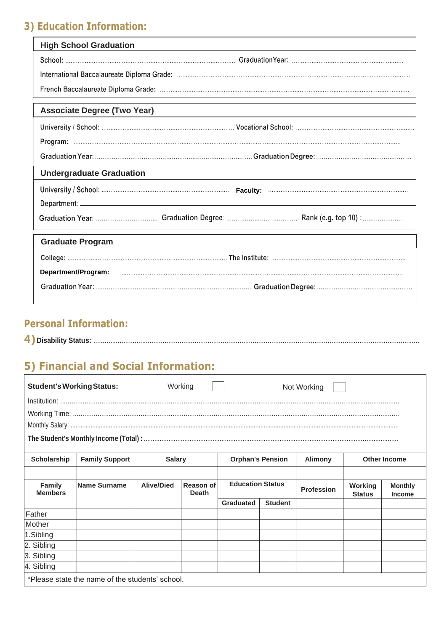### **3) Education Information:**

| <b>High School Graduation</b>      |  |
|------------------------------------|--|
|                                    |  |
|                                    |  |
|                                    |  |
| <b>Associate Degree (Two Year)</b> |  |
|                                    |  |
|                                    |  |
|                                    |  |
| <b>Undergraduate Graduation</b>    |  |
|                                    |  |
|                                    |  |
|                                    |  |
| <b>Graduate Program</b>            |  |
|                                    |  |
|                                    |  |
|                                    |  |

### **Personal Information:**

| Disability | эм |  |  |  |
|------------|----|--|--|--|
|------------|----|--|--|--|

### **5) Financial and Social Information:**

| <b>Student's Working Status:</b>                                                                                                 |              |                   | Working                   |                         |                | Not Working       |                          |                                 |  |
|----------------------------------------------------------------------------------------------------------------------------------|--------------|-------------------|---------------------------|-------------------------|----------------|-------------------|--------------------------|---------------------------------|--|
|                                                                                                                                  |              |                   |                           |                         |                |                   |                          |                                 |  |
|                                                                                                                                  |              |                   |                           |                         |                |                   |                          |                                 |  |
|                                                                                                                                  |              |                   |                           |                         |                |                   |                          |                                 |  |
|                                                                                                                                  |              |                   |                           |                         |                |                   |                          |                                 |  |
| <b>Family Support</b><br><b>Scholarship</b><br><b>Other Income</b><br><b>Orphan's Pension</b><br><b>Alimony</b><br><b>Salary</b> |              |                   |                           |                         |                |                   |                          |                                 |  |
|                                                                                                                                  |              |                   |                           |                         |                |                   |                          |                                 |  |
|                                                                                                                                  |              |                   |                           |                         |                |                   |                          |                                 |  |
| <b>Family</b><br><b>Members</b>                                                                                                  | Name Surname | <b>Alive/Died</b> | Reason of<br><b>Death</b> | <b>Education Status</b> |                | <b>Profession</b> | Working<br><b>Status</b> | <b>Monthly</b><br><b>Income</b> |  |
|                                                                                                                                  |              |                   |                           | <b>Graduated</b>        | <b>Student</b> |                   |                          |                                 |  |
| Father                                                                                                                           |              |                   |                           |                         |                |                   |                          |                                 |  |
| Mother                                                                                                                           |              |                   |                           |                         |                |                   |                          |                                 |  |
| 1.Sibling                                                                                                                        |              |                   |                           |                         |                |                   |                          |                                 |  |
| 2. Sibling                                                                                                                       |              |                   |                           |                         |                |                   |                          |                                 |  |
| 3. Sibling                                                                                                                       |              |                   |                           |                         |                |                   |                          |                                 |  |
| 4. Sibling                                                                                                                       |              |                   |                           |                         |                |                   |                          |                                 |  |
| *Please state the name of the students' school.                                                                                  |              |                   |                           |                         |                |                   |                          |                                 |  |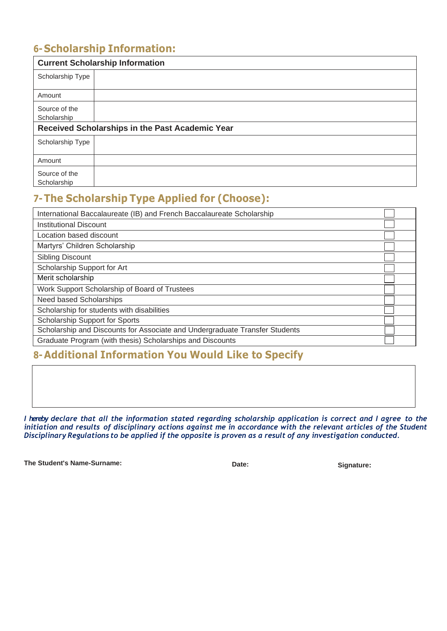### **6- Scholarship Information:**

|                                                 | <b>Current Scholarship Information</b> |  |  |  |
|-------------------------------------------------|----------------------------------------|--|--|--|
| Scholarship Type                                |                                        |  |  |  |
| Amount                                          |                                        |  |  |  |
| Source of the<br>Scholarship                    |                                        |  |  |  |
| Received Scholarships in the Past Academic Year |                                        |  |  |  |
| Scholarship Type                                |                                        |  |  |  |
| Amount                                          |                                        |  |  |  |
| Source of the<br>Scholarship                    |                                        |  |  |  |

### **7-The Scholarship Type Applied for (Choose):**

| International Baccalaureate (IB) and French Baccalaureate Scholarship       |  |
|-----------------------------------------------------------------------------|--|
| <b>Institutional Discount</b>                                               |  |
| Location based discount                                                     |  |
| Martyrs' Children Scholarship                                               |  |
| <b>Sibling Discount</b>                                                     |  |
| Scholarship Support for Art                                                 |  |
| Merit scholarship                                                           |  |
| Work Support Scholarship of Board of Trustees                               |  |
| Need based Scholarships                                                     |  |
| Scholarship for students with disabilities                                  |  |
| Scholarship Support for Sports                                              |  |
| Scholarship and Discounts for Associate and Undergraduate Transfer Students |  |
| Graduate Program (with thesis) Scholarships and Discounts                   |  |

### **8- Additional Information You Would Like to Specify**

I hereby declare that all the information stated regarding scholarship application is correct and I agree to the initiation and results of disciplinary actions against me in accordance with the relevant articles of the Student *Disciplinary Regulations to be applied if the opposite is proven as a result of any investigation conducted.*

The Student's Name-Surname: **Date: Date: Date: Signature: Signature: Date: Date: Date: Signature: CONSISTENTS**